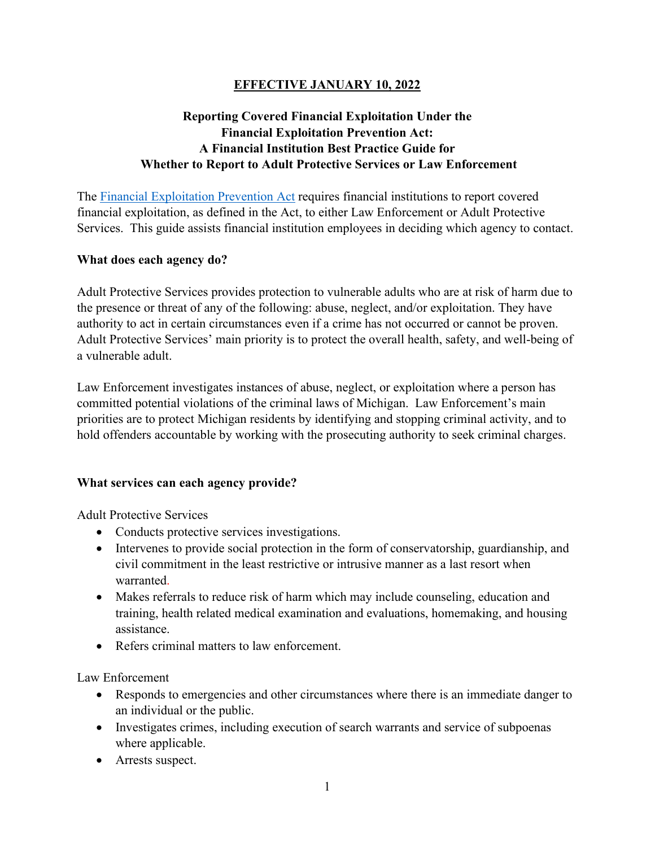# **EFFECTIVE JANUARY 10, 2022**

# **Reporting Covered Financial Exploitation Under the Financial Exploitation Prevention Act: A Financial Institution Best Practice Guide for Whether to Report to Adult Protective Services or Law Enforcement**

The [Financial Exploitation Prevention Act](https://www.legislature.mi.gov/documents/2019-2020/publicact/pdf/2020-PA-0344.pdf) requires financial institutions to report covered financial exploitation, as defined in the Act, to either Law Enforcement or Adult Protective Services. This guide assists financial institution employees in deciding which agency to contact.

### **What does each agency do?**

Adult Protective Services provides protection to vulnerable adults who are at risk of harm due to the presence or threat of any of the following: abuse, neglect, and/or exploitation. They have authority to act in certain circumstances even if a crime has not occurred or cannot be proven. Adult Protective Services' main priority is to protect the overall health, safety, and well-being of a vulnerable adult.

Law Enforcement investigates instances of abuse, neglect, or exploitation where a person has committed potential violations of the criminal laws of Michigan. Law Enforcement's main priorities are to protect Michigan residents by identifying and stopping criminal activity, and to hold offenders accountable by working with the prosecuting authority to seek criminal charges.

### **What services can each agency provide?**

Adult Protective Services

- Conducts protective services investigations.
- Intervenes to provide social protection in the form of conservatorship, guardianship, and civil commitment in the least restrictive or intrusive manner as a last resort when warranted.
- Makes referrals to reduce risk of harm which may include counseling, education and training, health related medical examination and evaluations, homemaking, and housing assistance.
- Refers criminal matters to law enforcement.

Law Enforcement

- Responds to emergencies and other circumstances where there is an immediate danger to an individual or the public.
- Investigates crimes, including execution of search warrants and service of subpoenas where applicable.
- Arrests suspect.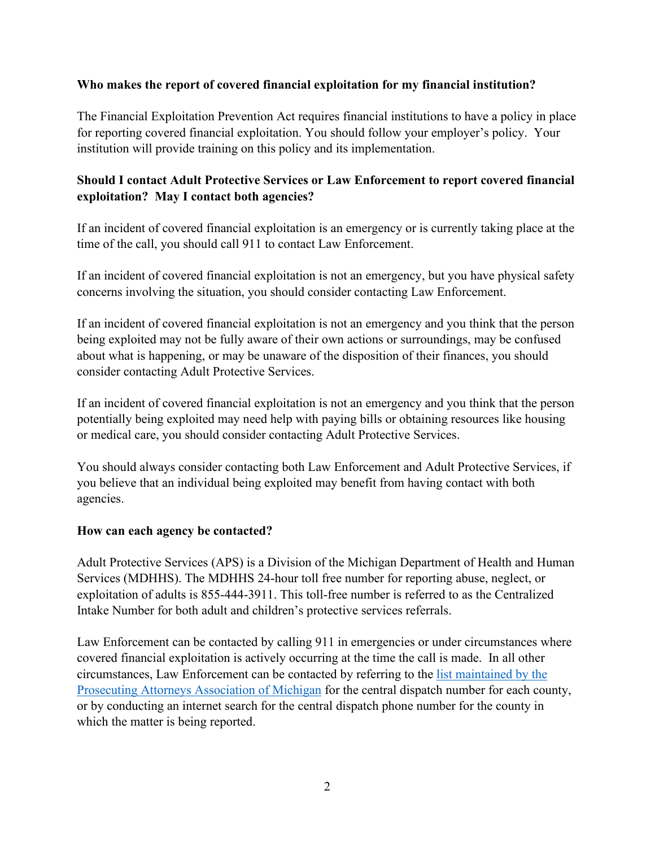### **Who makes the report of covered financial exploitation for my financial institution?**

The Financial Exploitation Prevention Act requires financial institutions to have a policy in place for reporting covered financial exploitation. You should follow your employer's policy. Your institution will provide training on this policy and its implementation.

## **Should I contact Adult Protective Services or Law Enforcement to report covered financial exploitation? May I contact both agencies?**

If an incident of covered financial exploitation is an emergency or is currently taking place at the time of the call, you should call 911 to contact Law Enforcement.

If an incident of covered financial exploitation is not an emergency, but you have physical safety concerns involving the situation, you should consider contacting Law Enforcement.

If an incident of covered financial exploitation is not an emergency and you think that the person being exploited may not be fully aware of their own actions or surroundings, may be confused about what is happening, or may be unaware of the disposition of their finances, you should consider contacting Adult Protective Services.

If an incident of covered financial exploitation is not an emergency and you think that the person potentially being exploited may need help with paying bills or obtaining resources like housing or medical care, you should consider contacting Adult Protective Services.

You should always consider contacting both Law Enforcement and Adult Protective Services, if you believe that an individual being exploited may benefit from having contact with both agencies.

### **How can each agency be contacted?**

Adult Protective Services (APS) is a Division of the Michigan Department of Health and Human Services (MDHHS). The MDHHS 24-hour toll free number for reporting abuse, neglect, or exploitation of adults is 855-444-3911. This toll-free number is referred to as the Centralized Intake Number for both adult and children's protective services referrals.

Law Enforcement can be contacted by calling 911 in emergencies or under circumstances where covered financial exploitation is actively occurring at the time the call is made. In all other circumstances, Law Enforcement can be contacted by referring to the [list maintained by the](https://www.michiganprosecutor.org/publicresources/financial-exploitation-prevention-act-forms-documents)  [Prosecuting Attorneys Association of Michigan](https://www.michiganprosecutor.org/publicresources/financial-exploitation-prevention-act-forms-documents) for the central dispatch number for each county, or by conducting an internet search for the central dispatch phone number for the county in which the matter is being reported.